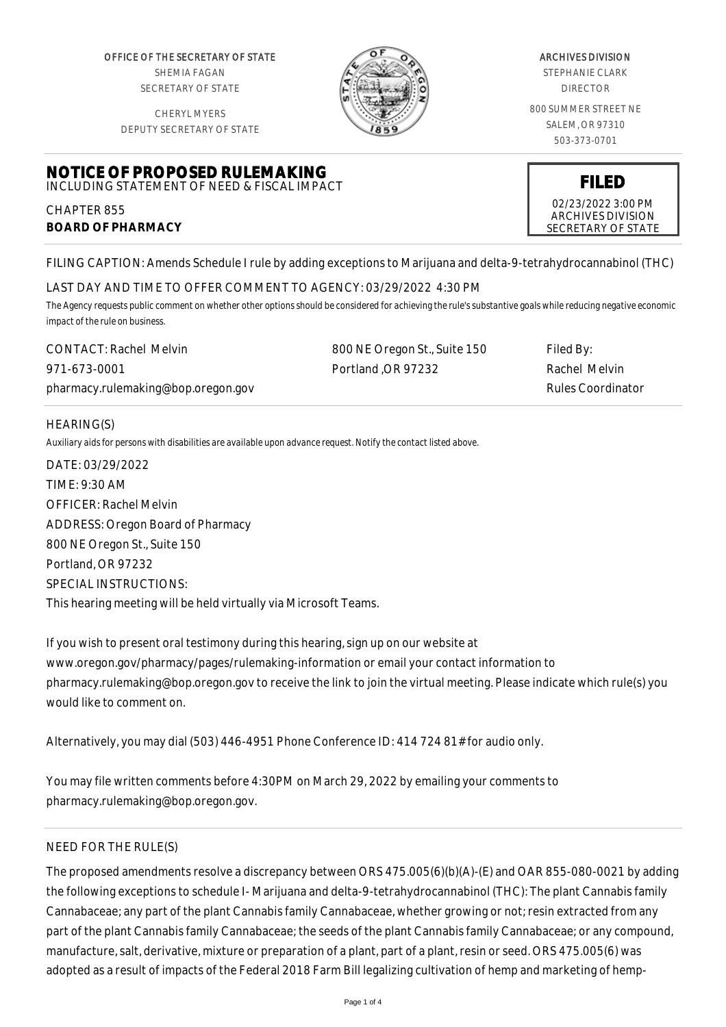OFFICE OF THE SECRETARY OF STATE SHEMIA FAGAN SECRETARY OF STATE

CHERYL MYERS DEPUTY SECRETARY OF STATE



#### ARCHIVES DIVISION

STEPHANIE CLARK DIRECTOR

800 SUMMER STREET NE SALEM, OR 97310 503-373-0701

> **FILED** 02/23/2022 3:00 PM ARCHIVES DIVISION SECRETARY OF STATE

#### **NOTICE OF PROPOSED RULEMAKING** INCLUDING STATEMENT OF NEED & FISCAL IMPACT

CHAPTER 855 **BOARD OF PHARMACY**

FILING CAPTION: Amends Schedule I rule by adding exceptions to Marijuana and delta-9-tetrahydrocannabinol (THC)

# LAST DAY AND TIME TO OFFER COMMENT TO AGENCY: 03/29/2022 4:30 PM

*The Agency requests public comment on whether other options should be considered for achieving the rule's substantive goals while reducing negative economic impact of the rule on business.*

| <b>CONTACT: Rachel Melvin</b>      | 800 NE Oregon St., Suite 150 | Filed By:                |
|------------------------------------|------------------------------|--------------------------|
| 971-673-0001                       | Portland OR 97232            | Rachel Melvin            |
| pharmacy.rulemaking@bop.oregon.gov |                              | <b>Rules Coordinator</b> |

# HEARING(S)

*Auxiliary aids for persons with disabilities are available upon advance request. Notify the contact listed above.*

DATE: 03/29/2022 TIME: 9:30 AM OFFICER: Rachel Melvin ADDRESS: Oregon Board of Pharmacy 800 NE Oregon St., Suite 150 Portland, OR 97232 SPECIAL INSTRUCTIONS: This hearing meeting will be held virtually via Microsoft Teams.

If you wish to present oral testimony during this hearing, sign up on our website at www.oregon.gov/pharmacy/pages/rulemaking-information or email your contact information to pharmacy.rulemaking@bop.oregon.gov to receive the link to join the virtual meeting. Please indicate which rule(s) you would like to comment on.

Alternatively, you may dial (503) 446-4951 Phone Conference ID: 414 724 81# for audio only.

You may file written comments before 4:30PM on March 29, 2022 by emailing your comments to pharmacy.rulemaking@bop.oregon.gov.

# NEED FOR THE RULE(S)

The proposed amendments resolve a discrepancy between ORS 475.005(6)(b)(A)-(E) and OAR 855-080-0021 by adding the following exceptions to schedule I- Marijuana and delta-9-tetrahydrocannabinol (THC): The plant Cannabis family Cannabaceae; any part of the plant Cannabis family Cannabaceae, whether growing or not; resin extracted from any part of the plant Cannabis family Cannabaceae; the seeds of the plant Cannabis family Cannabaceae; or any compound, manufacture, salt, derivative, mixture or preparation of a plant, part of a plant, resin or seed. ORS 475.005(6) was adopted as a result of impacts of the Federal 2018 Farm Bill legalizing cultivation of hemp and marketing of hemp-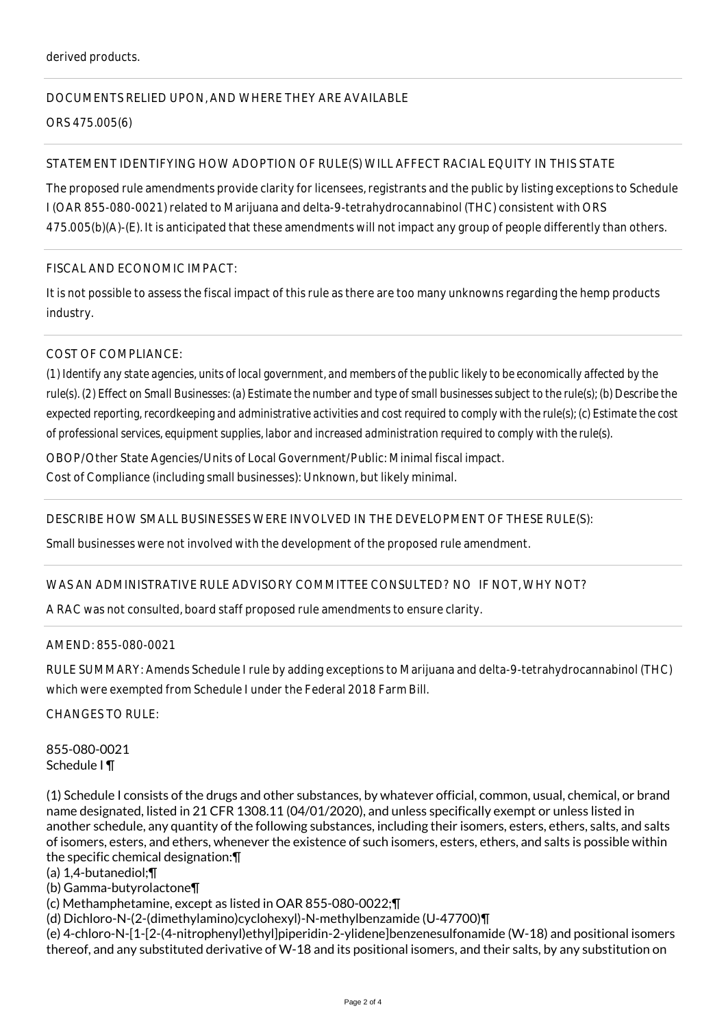# DOCUMENTS RELIED UPON, AND WHERE THEY ARE AVAILABLE

ORS 475.005(6)

# STATEMENT IDENTIFYING HOW ADOPTION OF RULE(S) WILL AFFECT RACIAL EQUITY IN THIS STATE

The proposed rule amendments provide clarity for licensees, registrants and the public by listing exceptions to Schedule I (OAR 855-080-0021) related to Marijuana and delta-9-tetrahydrocannabinol (THC) consistent with ORS 475.005(b)(A)-(E). It is anticipated that these amendments will not impact any group of people differently than others.

### FISCAL AND ECONOMIC IMPACT:

It is not possible to assess the fiscal impact of this rule as there are too many unknowns regarding the hemp products industry.

# COST OF COMPLIANCE:

*(1) Identify any state agencies, units of local government, and members of the public likely to be economically affected by the rule(s). (2) Effect on Small Businesses: (a) Estimate the number and type of small businesses subject to the rule(s); (b) Describe the expected reporting, recordkeeping and administrative activities and cost required to comply with the rule(s); (c) Estimate the cost of professional services, equipment supplies, labor and increased administration required to comply with the rule(s).*

OBOP/Other State Agencies/Units of Local Government/Public: Minimal fiscal impact.

Cost of Compliance (including small businesses): Unknown, but likely minimal.

### DESCRIBE HOW SMALL BUSINESSES WERE INVOLVED IN THE DEVELOPMENT OF THESE RULE(S):

Small businesses were not involved with the development of the proposed rule amendment.

### WAS AN ADMINISTRATIVE RULE ADVISORY COMMITTEE CONSULTED? NO IF NOT, WHY NOT?

A RAC was not consulted, board staff proposed rule amendments to ensure clarity.

### AMEND: 855-080-0021

RULE SUMMARY: Amends Schedule I rule by adding exceptions to Marijuana and delta-9-tetrahydrocannabinol (THC) which were exempted from Schedule I under the Federal 2018 Farm Bill.

CHANGES TO RULE:

855-080-0021 Schedule I ¶

(1) Schedule I consists of the drugs and other substances, by whatever official, common, usual, chemical, or brand name designated, listed in 21 CFR 1308.11 (04/01/2020), and unless specifically exempt or unless listed in another schedule, any quantity of the following substances, including their isomers, esters, ethers, salts, and salts of isomers, esters, and ethers, whenever the existence of such isomers, esters, ethers, and salts is possible within the specific chemical designation:¶

### (a) 1,4-butanediol;¶

(b) Gamma-butyrolactone¶

(c) Methamphetamine, except as listed in OAR 855-080-0022;¶

(d) Dichloro-N-(2-(dimethylamino)cyclohexyl)-N-methylbenzamide (U-47700)¶

(e) 4-chloro-N-[1-[2-(4-nitrophenyl)ethyl]piperidin-2-ylidene]benzenesulfonamide (W-18) and positional isomers thereof, and any substituted derivative of W-18 and its positional isomers, and their salts, by any substitution on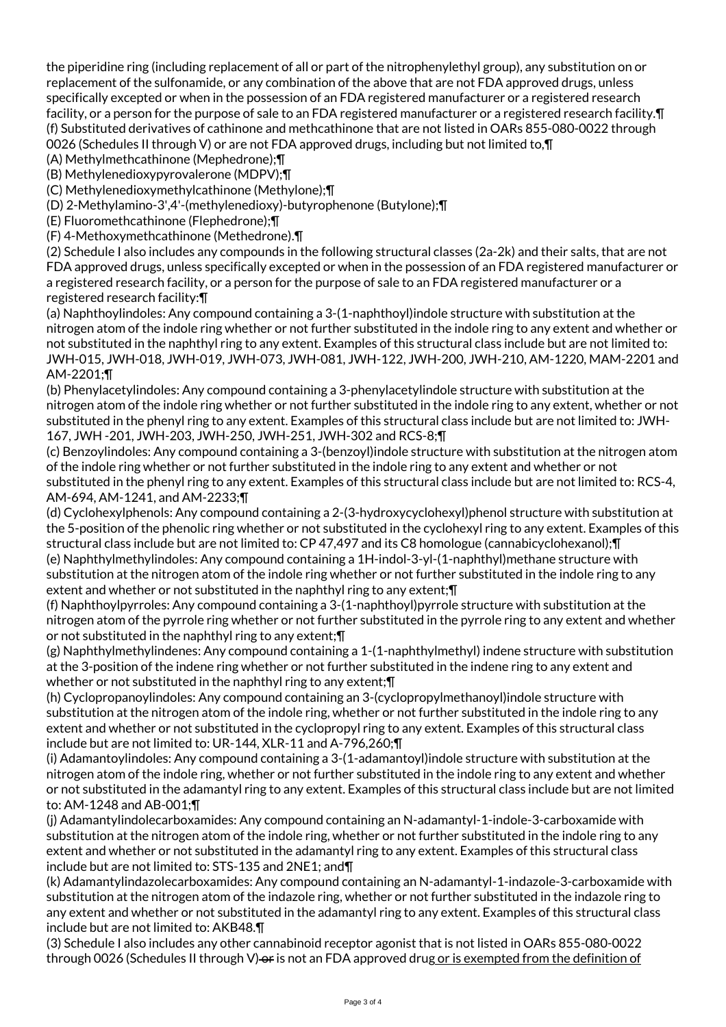the piperidine ring (including replacement of all or part of the nitrophenylethyl group), any substitution on or replacement of the sulfonamide, or any combination of the above that are not FDA approved drugs, unless specifically excepted or when in the possession of an FDA registered manufacturer or a registered research facility, or a person for the purpose of sale to an FDA registered manufacturer or a registered research facility. I (f) Substituted derivatives of cathinone and methcathinone that are not listed in OARs 855-080-0022 through 0026 (Schedules II through V) or are not FDA approved drugs, including but not limited to,¶

(A) Methylmethcathinone (Mephedrone);¶

(B) Methylenedioxypyrovalerone (MDPV);¶

(C) Methylenedioxymethylcathinone (Methylone);¶

(D) 2-Methylamino-3',4'-(methylenedioxy)-butyrophenone (Butylone);¶

(E) Fluoromethcathinone (Flephedrone);¶

(F) 4-Methoxymethcathinone (Methedrone).¶

(2) Schedule I also includes any compounds in the following structural classes (2a-2k) and their salts, that are not FDA approved drugs, unless specifically excepted or when in the possession of an FDA registered manufacturer or a registered research facility, or a person for the purpose of sale to an FDA registered manufacturer or a registered research facility:¶

(a) Naphthoylindoles: Any compound containing a 3-(1-naphthoyl)indole structure with substitution at the nitrogen atom of the indole ring whether or not further substituted in the indole ring to any extent and whether or not substituted in the naphthyl ring to any extent. Examples of this structural class include but are not limited to: JWH-015, JWH-018, JWH-019, JWH-073, JWH-081, JWH-122, JWH-200, JWH-210, AM-1220, MAM-2201 and AM-2201;¶

(b) Phenylacetylindoles: Any compound containing a 3-phenylacetylindole structure with substitution at the nitrogen atom of the indole ring whether or not further substituted in the indole ring to any extent, whether or not substituted in the phenyl ring to any extent. Examples of this structural class include but are not limited to: JWH-167, JWH -201, JWH-203, JWH-250, JWH-251, JWH-302 and RCS-8;¶

(c) Benzoylindoles: Any compound containing a 3-(benzoyl)indole structure with substitution at the nitrogen atom of the indole ring whether or not further substituted in the indole ring to any extent and whether or not substituted in the phenyl ring to any extent. Examples of this structural class include but are not limited to: RCS-4, AM-694, AM-1241, and AM-2233;¶

(d) Cyclohexylphenols: Any compound containing a 2-(3-hydroxycyclohexyl)phenol structure with substitution at the 5-position of the phenolic ring whether or not substituted in the cyclohexyl ring to any extent. Examples of this structural class include but are not limited to: CP 47,497 and its C8 homologue (cannabicyclohexanol);¶ (e) Naphthylmethylindoles: Any compound containing a 1H-indol-3-yl-(1-naphthyl)methane structure with

substitution at the nitrogen atom of the indole ring whether or not further substituted in the indole ring to any extent and whether or not substituted in the naphthyl ring to any extent;¶

(f) Naphthoylpyrroles: Any compound containing a 3-(1-naphthoyl)pyrrole structure with substitution at the nitrogen atom of the pyrrole ring whether or not further substituted in the pyrrole ring to any extent and whether or not substituted in the naphthyl ring to any extent;¶

(g) Naphthylmethylindenes: Any compound containing a 1-(1-naphthylmethyl) indene structure with substitution at the 3-position of the indene ring whether or not further substituted in the indene ring to any extent and whether or not substituted in the naphthyl ring to any extent; \[

(h) Cyclopropanoylindoles: Any compound containing an 3-(cyclopropylmethanoyl)indole structure with substitution at the nitrogen atom of the indole ring, whether or not further substituted in the indole ring to any extent and whether or not substituted in the cyclopropyl ring to any extent. Examples of this structural class include but are not limited to: UR-144, XLR-11 and A-796,260;¶

(i) Adamantoylindoles: Any compound containing a 3-(1-adamantoyl)indole structure with substitution at the nitrogen atom of the indole ring, whether or not further substituted in the indole ring to any extent and whether or not substituted in the adamantyl ring to any extent. Examples of this structural class include but are not limited to: AM-1248 and AB-001;¶

(j) Adamantylindolecarboxamides: Any compound containing an N-adamantyl-1-indole-3-carboxamide with substitution at the nitrogen atom of the indole ring, whether or not further substituted in the indole ring to any extent and whether or not substituted in the adamantyl ring to any extent. Examples of this structural class include but are not limited to: STS-135 and 2NE1; and¶

(k) Adamantylindazolecarboxamides: Any compound containing an N-adamantyl-1-indazole-3-carboxamide with substitution at the nitrogen atom of the indazole ring, whether or not further substituted in the indazole ring to any extent and whether or not substituted in the adamantyl ring to any extent. Examples of this structural class include but are not limited to: AKB48.¶

(3) Schedule I also includes any other cannabinoid receptor agonist that is not listed in OARs 855-080-0022 through 0026 (Schedules II through V) or is not an FDA approved drug or is exempted from the definition of